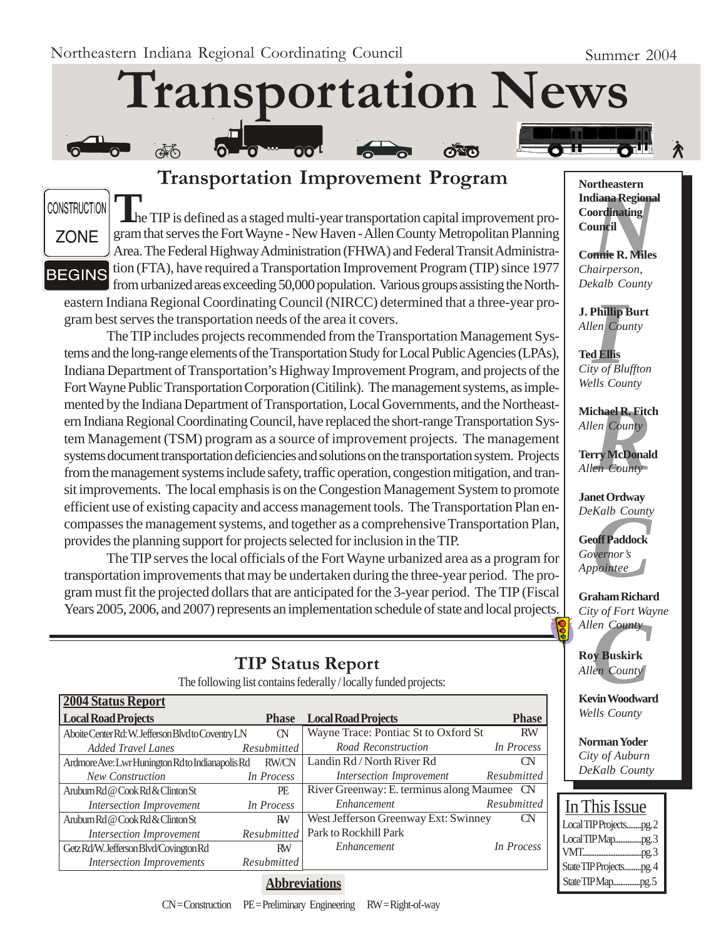ക്ക്

# **Transportation News**

**CONSTRUCTION** 



**BEGINS** 

**T**he TIP is defined as a staged multi-year transportation capital improvement program that serves the Fort Wayne - New Haven - Allen County Metropolitan Planning Area. The Federal Highway Administration (FHWA) and Federal Transit Administration (FTA), have required a Transportation Improvement Program (TIP) since 1977 from urbanized areas exceeding 50,000 population. Various groups assisting the North-

**Transportation Improvement Program**

eastern Indiana Regional Coordinating Council (NIRCC) determined that a three-year program best serves the transportation needs of the area it covers.

The TIP includes projects recommended from the Transportation Management Systems and the long-range elements of the Transportation Study for Local Public Agencies (LPAs), Indiana Department of Transportation's Highway Improvement Program, and projects of the Fort Wayne Public Transportation Corporation (Citilink). The management systems, as implemented by the Indiana Department of Transportation, Local Governments, and the Northeastern Indiana Regional Coordinating Council, have replaced the short-range Transportation System Management (TSM) program as a source of improvement projects. The management systems document transportation deficiencies and solutions on the transportation system. Projects from the management systems include safety, traffic operation, congestion mitigation, and transit improvements. The local emphasis is on the Congestion Management System to promote efficient use of existing capacity and access management tools. The Transportation Plan encompasses the management systems, and together as a comprehensive Transportation Plan, provides the planning support for projects selected for inclusion in the TIP.

The TIP serves the local officials of the Fort Wayne urbanized area as a program for transportation improvements that may be undertaken during the three-year period. The program must fit the projected dollars that are anticipated for the 3-year period. The TIP (Fiscal Years 2005, 2006, and 2007) represents an implementation schedule of state and local projects.

## **TIP Status Report**

The following list contains federally / locally funded projects:

| 2004 Status Report                                 |                    |                                             |              |
|----------------------------------------------------|--------------------|---------------------------------------------|--------------|
| <b>Local Road Projects</b>                         | <b>Phase</b>       | <b>Local Road Projects</b>                  | <b>Phase</b> |
| Aboite Center Rd: W. Jefferson Blvd to Coventry LN | <b>CN</b>          | Wayne Trace: Pontiac St to Oxford St        | <b>RW</b>    |
| Added Travel Lanes                                 | <b>Resubmitted</b> | Road Reconstruction                         | In Process   |
| Ardmore Ave: Lwr Hunington Rd to Indianapolis Rd   | <b>RW/CN</b>       | Landin Rd / North River Rd                  | CN           |
| New Construction                                   | In Process         | Intersection Improvement                    | Resubmitted  |
| Arubum Rd @ Cook Rd & Clinton St                   | PE                 | River Greenway: E. terminus along Maumee CN |              |
| Intersection Improvement                           | In Process         | Enhancement                                 | Resubmitted  |
| Arubum Rd @ Cook Rd & Clinton St                   | RW                 | West Jefferson Greenway Ext: Swinney        | <b>CN</b>    |
| Intersection Improvement                           | Resubmitted        | Park to Rockhill Park                       |              |
| Getz Rd/W. Jefferson Blvd/Covington Rd             | <b>RW</b>          | Enhancement                                 | In Process   |
| <b>Intersection Improvements</b>                   | Resubmitted        |                                             |              |
|                                                    |                    |                                             |              |

#### **Abbreviations**

*N*<br>**Iliana Regiona<br>ordinating<br>uncil<br><b>nnie R. Miles**<br>airperson, **Northeastern Indiana Regional Coordinating Council**

**Connie R. Miles** *Chairperson, Dekalb County*

**J. Phillip Burt** *Allen County*

**Phillip**<br>*I*<br>**I**<br>**III**<br>*III*<br>*III*<br>*III*<br>*II* **Ted Ellis** *City of Bluffton Wells County*

**chael R. Fitc**<br> *en County*<br> **rry McDonal**<br> *en County* **Michael R. Fitch** *Allen County*

**Terry McDonald** *Allen County*

**Janet Ordway** *DeKalb County*

*Kalb County*<br>**off Paddock**<br>vernor's<br>pointee **Geoff Paddock** *Governor's Appointee*

**Graham Richard** *City of Fort Wayne*

*Cuy of Port wa<br>Allen County*<br>**Roy Buskirk**<br>*Allen County*<br>**Kevin Woodwar Roy Buskirk** *Allen County*

**Kevin Woodward** *Wells County*

**Norman Yoder** *City of Auburn DeKalb County*

| In This Issue          |
|------------------------|
| Local TIP Projectspg.2 |
| LocalTIPMappg.3        |
|                        |
| State TIP Projectspg.4 |
| State TIP Mappg. 5     |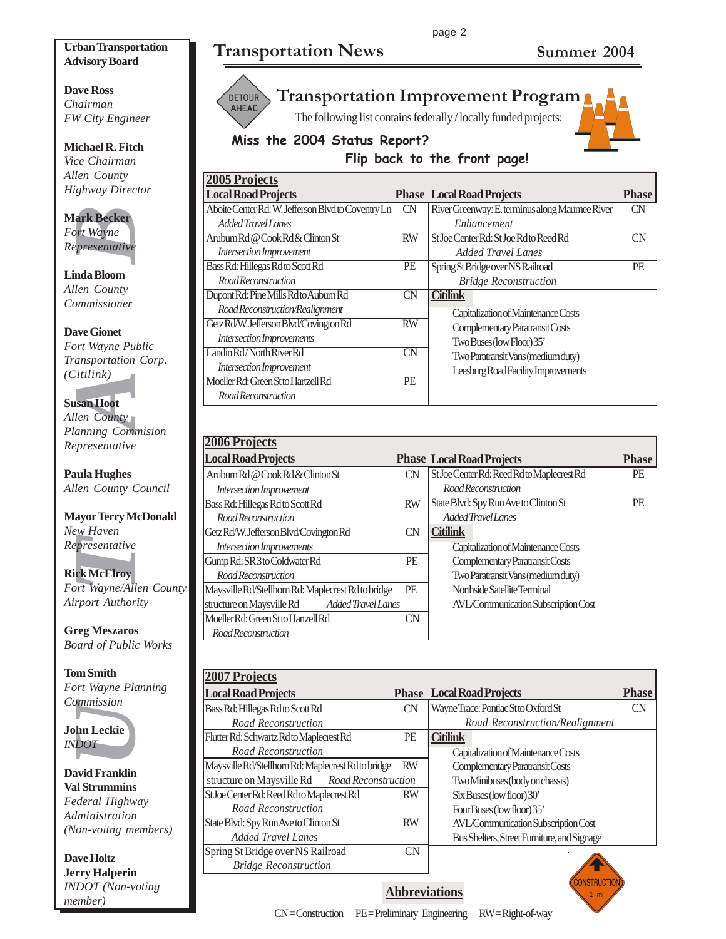## **Transportation News Summer 2004**

## **Dave Ross** *Chairman*

**Urban Transportation Advisory Board**

*FW City Engineer*

**Michael R. Fitch** *Vice Chairman Allen County Highway Director*

#### **Mark Becker** *Fort Wayne Representative*

**Linda Bloom** *Allen County Commissioner*

#### **Dave Gionet**

*Fort Wayne Public Transportation Corp. (Citilink)*

#### **Susan Hoot**

**EXECT:**<br>
For Wayne<br>
For Wayne<br>
For Wayne<br>
For Sentative<br>
India Bloom<br>
Jen County<br>
Dominissioner<br>
An Moot<br>
University<br>
University<br>
University<br>
University<br>
University<br>
Presentative<br>
University<br>
Presentative<br>
UNIX<br>
Developer *Allen County Planning Commision Representative*

**Paula Hughes** *Allen County Council*

#### **Mayor Terry McDonald** *New Haven Representative*

**Rick McElroy** *Fort Wayne/Allen County Airport Authority*

**Greg Meszaros** *Board of Public Works*

#### **Tom Smith** *Fort Wayne Planning Commission*



**David Franklin Val Strummins** *Federal Highway Administration (Non-voitng members)*

**Dave Holtz Jerry Halperin** *INDOT (Non-voting member)*



## **Transportation Improvement Program**

The following list contains federally / locally funded projects:





## **Flip back to the front page!**

| <b>2005 Projects</b>                               |           |                                                |              |
|----------------------------------------------------|-----------|------------------------------------------------|--------------|
| <b>Local Road Projects</b>                         |           | <b>Phase Local Road Projects</b>               | <b>Phase</b> |
| Aboite Center Rd: W. Jefferson Blvd to Coventry Ln | CN        | River Greenway: E. terminus along Maumee River | <b>CN</b>    |
| Added Travel Lanes                                 |           | Enhancement                                    |              |
| Aruburn Rd @ Cook Rd & Clinton St                  | <b>RW</b> | St Joe Center Rd: St Joe Rd to Reed Rd         | CΝ           |
| Intersection Improvement                           |           | Added Travel Lanes                             |              |
| Bass Rd: Hillegas Rd to Scott Rd                   | <b>PE</b> | Spring St Bridge over NS Railroad              | PE           |
| Road Reconstruction                                |           | <b>Bridge Reconstruction</b>                   |              |
| Dupont Rd: Pine Mills Rd to Auburn Rd              | <b>CN</b> | <b>Citilink</b>                                |              |
| Road Reconstruction/Realignment                    |           | Capitalization of Maintenance Costs            |              |
| Getz Rd/W. Jefferson Blvd/Covington Rd             | <b>RW</b> | Complementary Paratransit Costs                |              |
| Intersection Improvements                          |           | Two Buses (low Floor) 35'                      |              |
| Landin Rd/North River Rd                           | <b>CN</b> | Two Paratransit Vans (medium duty)             |              |
| Intersection Improvement                           |           | Leesburg Road Facility Improvements            |              |
| Moeller Rd: Green St to Hartzell Rd                | PE        |                                                |              |
| <b>RoadReconstruction</b>                          |           |                                                |              |

| <b>2006 Projects</b>                               |           |                                            |              |
|----------------------------------------------------|-----------|--------------------------------------------|--------------|
| <b>Local Road Projects</b>                         |           | <b>Phase Local Road Projects</b>           | <b>Phase</b> |
| Aruburn Rd @ Cook Rd & Clinton St                  | CN        | St Joe Center Rd: Reed Rd to Maplecrest Rd | <b>PE</b>    |
| Intersection Improvement                           |           | Road Reconstruction                        |              |
| Bass Rd: Hillegas Rd to Scott Rd                   | <b>RW</b> | State Blvd: Spy Run Ave to Clinton St      | <b>PE</b>    |
| Road Reconstruction                                |           | Added Travel Lanes                         |              |
| Getz Rd/W. Jefferson Blvd/Covington Rd             | CN        | Citilink                                   |              |
| Intersection Improvements                          |           | Capitalization of Maintenance Costs        |              |
| Gump Rd: SR 3 to Coldwater Rd                      | PE        | Complementary Paratransit Costs            |              |
| Road Reconstruction                                |           | Two Paratransit Vans (medium duty)         |              |
| Maysville Rd/Stellhorn Rd: Maplecrest Rd to bridge | PE        | Northside Satellite Terminal               |              |
| structure on Maysville Rd<br>Added Travel Lanes    |           | <b>AVL/Communication Subscription Cost</b> |              |
| Moeller Rd: Green St to Hartzell Rd                | CΝ        |                                            |              |
| Road Reconstruction                                |           |                                            |              |

| <b>2007 Projects</b>                               |           |                                             |              |
|----------------------------------------------------|-----------|---------------------------------------------|--------------|
| <b>Local Road Projects</b>                         |           | <b>Phase Local Road Projects</b>            | <b>Phase</b> |
| Bass Rd: Hillegas Rd to Scott Rd                   | CN        | Wayne Trace: Pontiac St to Oxford St        | CN           |
| Road Reconstruction                                |           | Road Reconstruction/Realignment             |              |
| Flutter Rd: Schwartz Rd to Maplecrest Rd           | PE        | <b>Citilink</b>                             |              |
| Road Reconstruction                                |           | Capitalization of Maintenance Costs         |              |
| Maysville Rd/Stellhorn Rd: Maplecrest Rd to bridge | <b>RW</b> | Complementary Paratransit Costs             |              |
| structure on Maysville Rd Road Reconstruction      |           | Two Minibuses (body on chassis)             |              |
| St Joe Center Rd: Reed Rd to Maplecrest Rd         | <b>RW</b> | Six Buses (low floor) 30'                   |              |
| Road Reconstruction                                |           | Four Buses (low floor) 35'                  |              |
| State Blvd: Spy Run Ave to Clinton St              | <b>RW</b> | AVL/Communication Subscription Cost         |              |
| <b>Added Travel Lanes</b>                          |           | Bus Shelters, Street Furniture, and Signage |              |
| Spring St Bridge over NS Railroad                  | CN.       |                                             |              |
| <b>Bridge Reconstruction</b>                       |           |                                             |              |



**Abbreviations**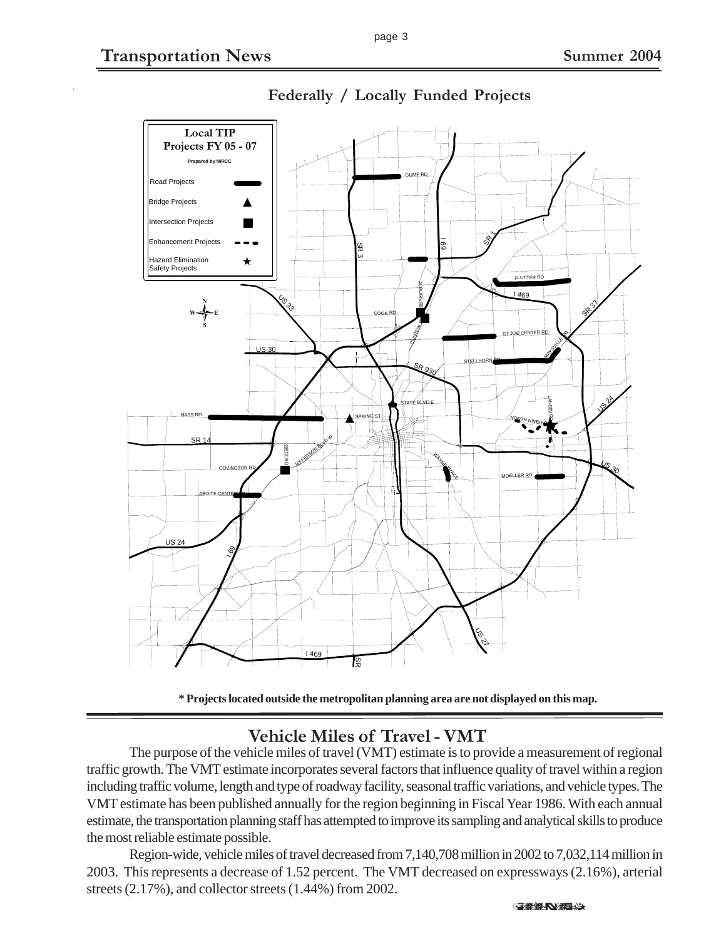

**Federally / Locally Funded Projects**

**\* Projects located outside the metropolitan planning area are not displayed on this map.**

## **Vehicle Miles of Travel - VMT**

The purpose of the vehicle miles of travel (VMT) estimate is to provide a measurement of regional traffic growth. The VMT estimate incorporates several factors that influence quality of travel within a region including traffic volume, length and type of roadway facility, seasonal traffic variations, and vehicle types. The VMT estimate has been published annually for the region beginning in Fiscal Year 1986. With each annual estimate, the transportation planning staff has attempted to improve its sampling and analytical skills to produce the most reliable estimate possible.

Region-wide, vehicle miles of travel decreased from 7,140,708 million in 2002 to 7,032,114 million in 2003. This represents a decrease of 1.52 percent. The VMT decreased on expressways (2.16%), arterial streets (2.17%), and collector streets (1.44%) from 2002.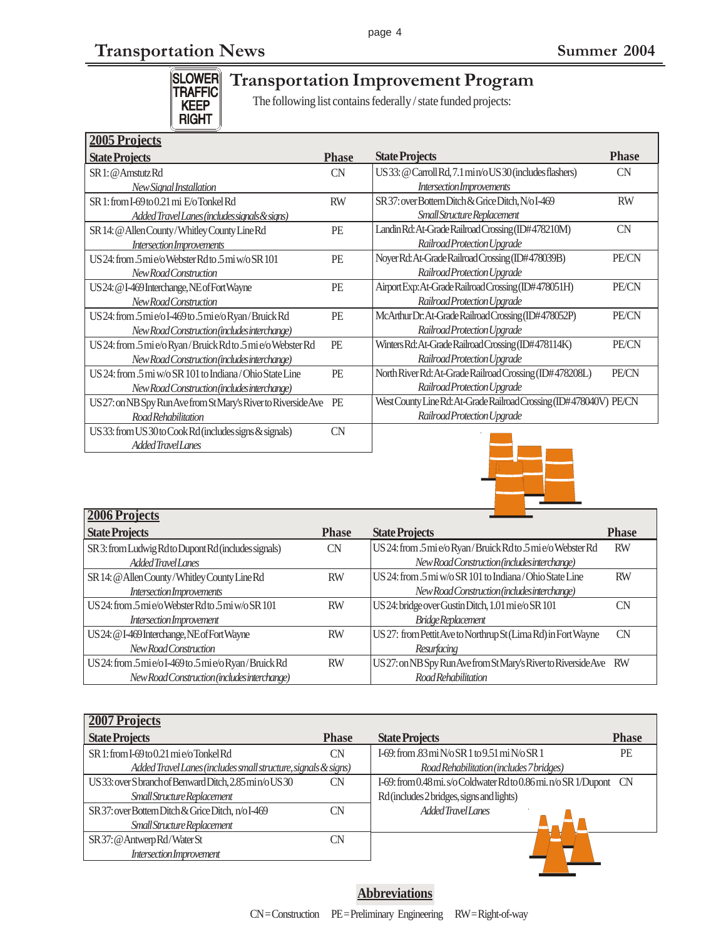# **Transportation News Summer 2004**

SLOWER<br>TRAFFIC<br>KEEP<br>RIGHT

# **Transportation Improvement Program**

The following list contains federally / state funded projects:

| <b>2005 Projects</b>                                           |              |                                                                    |              |
|----------------------------------------------------------------|--------------|--------------------------------------------------------------------|--------------|
| <b>State Projects</b>                                          | <b>Phase</b> | <b>State Projects</b>                                              | <b>Phase</b> |
| SR 1: @ Amstutz Rd                                             | CN           | US 33: @ Carroll Rd, 7.1 min/o US 30 (includes flashers)           | CN           |
| New Signal Installation                                        |              | Intersection Improvements                                          |              |
| SR1: from I-69 to 0.21 mi E/o Tonkel Rd                        | <b>RW</b>    | SR 37: over Bottern Ditch & Grice Ditch, N/o I-469                 | <b>RW</b>    |
| Added Travel Lanes (includes signals & signs)                  |              | Small Structure Replacement                                        |              |
| SR 14: @ Allen County/Whitley County Line Rd                   | PE           | Landin Rd: At-Grade Railroad Crossing (ID#478210M)                 | CN           |
| Intersection Improvements                                      |              | Railroad Protection Upgrade                                        |              |
| US24: from 5 mie/o Webster Rdto 5 mi w/o SR 101                | PE           | Noyer Rd: At-Grade Railroad Crossing (ID#478039B)                  | PE/CN        |
| New Road Construction                                          |              | Railroad Protection Upgrade                                        |              |
| US 24: @ I-469 Interchange, NE of Fort Wayne                   | PE           | Airport Exp: At-Grade Railroad Crossing (ID#478051H)               | PE/CN        |
| New Road Construction                                          |              | Railroad Protection Upgrade                                        |              |
| US24: from .5 mi e/o I-469 to .5 mi e/o Ryan/Bruick Rd         | PE           | McArthur Dr. At-Grade Railroad Crossing (ID#478052P)               | PE/CN        |
| New Road Construction (includes interchange)                   |              | Railroad Protection Upgrade                                        |              |
| US 24: from .5 mi e/o Ryan/Bruick Rdto .5 mi e/o Webster Rd    | PE           | Winters Rd: At-Grade Railroad Crossing (ID#478114K)                | PE/CN        |
| New Road Construction (includes interchange)                   |              | Railroad Protection Upgrade                                        |              |
| US 24: from .5 mi $w/0$ SR 101 to Indiana/Ohio State Line      | PE           | North River Rd: At-Grade Railroad Crossing (ID#478208L)            | <b>PE/CN</b> |
| New Road Construction (includes interchange)                   |              | Railroad Protection Upgrade                                        |              |
| US 27: on NB Spy Run Ave from St Mary's River to Riverside Ave | PE           | West County Line Rd: At-Grade Railroad Crossing (ID#478040V) PE/CN |              |
| Road Rehabilitation                                            |              | Railroad Protection Upgrade                                        |              |
| US 33: from US 30 to Cook Rd (includes signs $\&$ signals)     | CN           |                                                                    |              |
| Added Travel Lanes                                             |              |                                                                    |              |



| 2006 Projects                                          |              |                                                                   |              |
|--------------------------------------------------------|--------------|-------------------------------------------------------------------|--------------|
| <b>State Projects</b>                                  | <b>Phase</b> | <b>State Projects</b>                                             | <b>Phase</b> |
| SR 3: from Ludwig Rd to Dupont Rd (includes signals)   | <b>CN</b>    | US 24: from .5 mi e/o Ryan/Bruick Rd to .5 mi e/o Webster Rd      | <b>RW</b>    |
| Added Travel Lanes                                     |              | New Road Construction (includes interchange)                      |              |
| SR 14: @ Allen County/Whitley County Line Rd           | <b>RW</b>    | US 24: from .5 mi w/o SR 101 to Indiana/Ohio State Line           | <b>RW</b>    |
| <b>Intersection Improvements</b>                       |              | New Road Construction (includes interchange)                      |              |
| US24: from 5 mi e/o Webster Rd to 5 mi w/o SR 101      | <b>RW</b>    | US 24: bridge over Gustin Ditch, 1.01 mie/oSR 101                 | <b>CN</b>    |
| Intersection Improvement                               |              | <b>Bridge Replacement</b>                                         |              |
| US 24: @ I-469 Interchange, NE of Fort Wayne           | <b>RW</b>    | US 27: from Pettit Ave to Northrup St (Lima Rd) in Fort Wayne     | CN           |
| New Road Construction                                  |              | Resurfacing                                                       |              |
| US24: from .5 mi e/o I-469 to .5 mi e/o Ryan/Bruick Rd | <b>RW</b>    | US 27: on NB Spy Run Ave from St Mary's River to Riverside Ave RW |              |
| New Road Construction (includes interchange)           |              | Road Rehabilitation                                               |              |

| 2007 Projects                                                  |              |                                                                     |              |
|----------------------------------------------------------------|--------------|---------------------------------------------------------------------|--------------|
| <b>State Projects</b>                                          | <b>Phase</b> | <b>State Projects</b>                                               | <b>Phase</b> |
| SR 1: from I-69 to 0.21 mi e/o Tonkel Rd                       | CN           | I-69: from .83 mi N/o SR 1 to 9.51 mi N/o SR 1                      | <b>PE</b>    |
| Added Travel Lanes (includes small structure, signals & signs) |              | Road Rehabilitation (includes 7 bridges)                            |              |
| US33: over Sbranch of Benward Ditch, 2.85 min/oUS30            | CN           | I-69: from 0.48 mi. s/o Coldwater Rd to 0.86 mi. n/o SR 1/Dupont CN |              |
| Small Structure Replacement                                    |              | Rd (includes 2 bridges, signs and lights)                           |              |
| SR 37: over Bottern Ditch & Grice Ditch, n/o I-469             | CΝ           | Added Travel Lanes                                                  |              |
| Small Structure Replacement                                    |              |                                                                     |              |
| SR 37: @ Antwerp Rd/Water St                                   | CΝ           |                                                                     |              |
| Intersection Improvement                                       |              |                                                                     |              |

### **Abbreviations**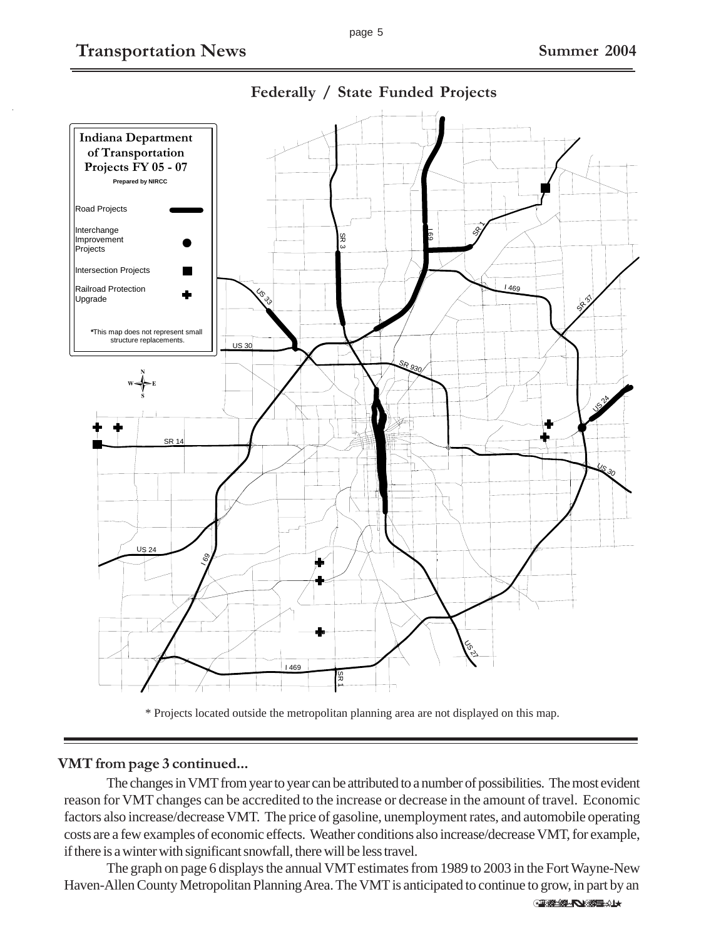

**Federally / State Funded Projects**



#### **VMT from page 3 continued...**

The changes in VMT from year to year can be attributed to a number of possibilities. The most evident reason for VMT changes can be accredited to the increase or decrease in the amount of travel. Economic factors also increase/decrease VMT. The price of gasoline, unemployment rates, and automobile operating costs are a few examples of economic effects. Weather conditions also increase/decrease VMT, for example, if there is a winter with significant snowfall, there will be less travel.

The graph on page 6 displays the annual VMT estimates from 1989 to 2003 in the Fort Wayne-New Haven-Allen County Metropolitan Planning Area. The VMT is anticipated to continue to grow, in part by an

(Continued on Pg. 6)